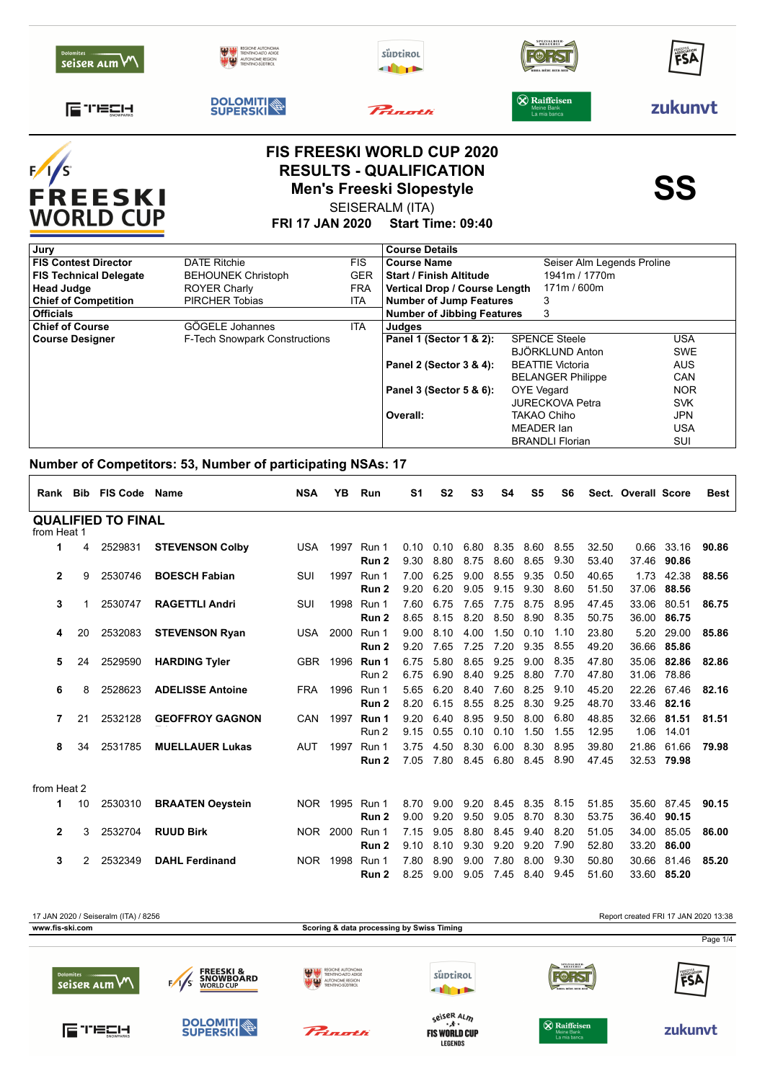|                            | --- -                                                                            |          |                                        |         |
|----------------------------|----------------------------------------------------------------------------------|----------|----------------------------------------|---------|
| 工会会计<br><b>SNOWPARKS</b>   | <b>DOLOMITI</b>                                                                  | Prinoth  | $\circledR$ Raiffeisen<br>La mia banca | zukunvt |
| Dolomites<br>seiser alm VV | <b>REGIONE AUTONOMA</b><br>TRENTINO-ALTO ADIGE<br><b>AN \$32</b> AUTONOME REGION | süptirol | BRAUEREI<br>BIRRA-BITRE-BEER-BITR      | FSA     |



## **FIS FREESKI WORLD CUP 2020** RESULTS - QUALIFICATION<br>Men's Freeski Slopestyle<br>**SS** SEISERALM (ITA) **Men's Freeski Slopestyle**

**FRI 17 JAN 2020 Start Time: 09:40**

| Jury                          |                                      |            | <b>Course Details</b>             |                            |            |
|-------------------------------|--------------------------------------|------------|-----------------------------------|----------------------------|------------|
| <b>FIS Contest Director</b>   | <b>DATE Ritchie</b>                  | <b>FIS</b> | <b>Course Name</b>                | Seiser Alm Legends Proline |            |
| <b>FIS Technical Delegate</b> | <b>BEHOUNEK Christoph</b>            | <b>GER</b> | <b>Start / Finish Altitude</b>    | 1941m / 1770m              |            |
| <b>Head Judge</b>             | <b>ROYER Charly</b>                  | <b>FRA</b> | Vertical Drop / Course Length     | 171m / 600m                |            |
| <b>Chief of Competition</b>   | <b>PIRCHER Tobias</b>                | <b>ITA</b> | <b>Number of Jump Features</b>    | 3                          |            |
| <b>Officials</b>              |                                      |            | <b>Number of Jibbing Features</b> | 3                          |            |
| <b>Chief of Course</b>        | GÖGELE Johannes                      | <b>ITA</b> | Judges                            |                            |            |
| <b>Course Designer</b>        | <b>F-Tech Snowpark Constructions</b> |            | Panel 1 (Sector 1 & 2):           | <b>SPENCE Steele</b>       | <b>USA</b> |
|                               |                                      |            |                                   | <b>BJÖRKLUND Anton</b>     | <b>SWE</b> |
|                               |                                      |            | Panel 2 (Sector 3 & 4):           | <b>BEATTIE Victoria</b>    | <b>AUS</b> |
|                               |                                      |            |                                   | <b>BELANGER Philippe</b>   | <b>CAN</b> |
|                               |                                      |            | Panel 3 (Sector 5 & 6):           | <b>OYE</b> Vegard          | <b>NOR</b> |
|                               |                                      |            |                                   | <b>JURECKOVA Petra</b>     | <b>SVK</b> |
|                               |                                      |            | Overall:                          | <b>TAKAO Chiho</b>         | <b>JPN</b> |
|                               |                                      |            |                                   | MEADER Ian                 | <b>USA</b> |
|                               |                                      |            |                                   | <b>BRANDLI Florian</b>     | SUI        |

### **Number of Competitors: 53, Number of participating NSAs: 17**

| Rank         |                                          | <b>Bib FIS Code</b> | <b>Name</b>             | <b>NSA</b> | ΥB       | Run                       | S1           | S <sub>2</sub> | S <sub>3</sub> | S4           | S <sub>5</sub> | S6           |                | Sect. Overall Score |                      | Best  |
|--------------|------------------------------------------|---------------------|-------------------------|------------|----------|---------------------------|--------------|----------------|----------------|--------------|----------------|--------------|----------------|---------------------|----------------------|-------|
|              | <b>QUALIFIED TO FINAL</b><br>from Heat 1 |                     |                         |            |          |                           |              |                |                |              |                |              |                |                     |                      |       |
| 1            | 4                                        | 2529831             | <b>STEVENSON Colby</b>  | <b>USA</b> | 1997     | Run 1<br>Run <sub>2</sub> | 0.10<br>9.30 | 0.10<br>8.80   | 6.80<br>8.75   | 8.35<br>8.60 | 8.60<br>8.65   | 8.55<br>9.30 | 32.50<br>53.40 | 0.66<br>37.46       | 33.16<br>90.86       | 90.86 |
| $\mathbf{2}$ | 9                                        | 2530746             | <b>BOESCH Fabian</b>    | SUI        | 1997     | Run 1<br>Run 2            | 7.00<br>9.20 | 6.25<br>6.20   | 9.00<br>9.05   | 8.55<br>9.15 | 9.35<br>9.30   | 0.50<br>8.60 | 40.65<br>51.50 | 1.73<br>37.06       | 42.38<br>88.56       | 88.56 |
| 3            |                                          | 2530747             | <b>RAGETTLI Andri</b>   | SUI        | 1998     | Run 1<br>Run 2            | 7.60<br>8.65 | 6.75<br>8.15   | 7.65<br>8.20   | 7.75<br>8.50 | 8.75<br>8.90   | 8.95<br>8.35 | 47.45<br>50.75 | 33.06<br>36.00      | 80.51<br>86.75       | 86.75 |
| 4            | 20                                       | 2532083             | <b>STEVENSON Ryan</b>   | USA.       | 2000     | Run 1<br>Run 2            | 9.00<br>9.20 | 8.10<br>7.65   | 4.00<br>7.25   | 1.50<br>7.20 | 0.10<br>9.35   | 1.10<br>8.55 | 23.80<br>49.20 | 5.20<br>36.66       | 29.00<br>85.86       | 85.86 |
| 5            | 24                                       | 2529590             | <b>HARDING Tyler</b>    | GBR        | 1996     | Run 1<br>Run 2            | 6.75<br>6.75 | 5.80<br>6.90   | 8.65<br>8.40   | 9.25<br>9.25 | 9.00<br>8.80   | 8.35<br>7.70 | 47.80<br>47.80 | 35.06               | 82.86<br>31.06 78.86 | 82.86 |
| 6            | 8                                        | 2528623             | <b>ADELISSE Antoine</b> | <b>FRA</b> | 1996     | Run 1<br>Run 2            | 5.65<br>8.20 | 6.20<br>6.15   | 8.40<br>8.55   | 7.60<br>8.25 | 8.25<br>8.30   | 9.10<br>9.25 | 45.20<br>48.70 | 22.26               | 67.46<br>33.46 82.16 | 82.16 |
| 7            | 21                                       | 2532128             | <b>GEOFFROY GAGNON</b>  | CAN        |          | 1997 Run 1<br>Run 2       | 9.20<br>9.15 | 6.40<br>0.55   | 8.95<br>0.10   | 9.50<br>0.10 | 8.00<br>1.50   | 6.80<br>1.55 | 48.85<br>12.95 | 32.66               | 81.51<br>1.06 14.01  | 81.51 |
| 8            | 34                                       | 2531785             | <b>MUELLAUER Lukas</b>  | <b>AUT</b> | 1997     | Run 1<br>Run 2            | 3.75<br>7.05 | 4.50<br>7.80   | 8.30<br>8.45   | 6.00<br>6.80 | 8.30<br>8.45   | 8.95<br>8.90 | 39.80<br>47.45 | 21.86               | 61.66<br>32.53 79.98 | 79.98 |
| from Heat 2  |                                          |                     |                         |            |          |                           |              |                |                |              |                |              |                |                     |                      |       |
| 1            | 10                                       | 2530310             | <b>BRAATEN Oeystein</b> |            |          | NOR 1995 Run 1<br>Run 2   | 8.70<br>9.00 | 9.00<br>9.20   | 9.20<br>9.50   | 8.45<br>9.05 | 8.35<br>8.70   | 8.15<br>8.30 | 51.85<br>53.75 | 35.60<br>36.40      | 87.45<br>90.15       | 90.15 |
| $\mathbf{2}$ | 3                                        | 2532704             | <b>RUUD Birk</b>        |            | NOR 2000 | Run 1<br>Run 2            | 7.15<br>9.10 | 9.05<br>8.10   | 8.80<br>9.30   | 8.45<br>9.20 | 9.40<br>9.20   | 8.20<br>7.90 | 51.05<br>52.80 | 34.00<br>33.20      | 85.05<br>86.00       | 86.00 |
| 3            | 2                                        | 2532349             | <b>DAHL Ferdinand</b>   | NOR 1998   |          | Run 1<br>Run 2            | 7.80<br>8.25 | 8.90<br>9.00   | 9.00<br>9.05   | 7.80<br>7.45 | 8.00<br>8.40   | 9.30<br>9.45 | 50.80<br>51.60 | 30.66               | 81.46<br>33.60 85.20 | 85.20 |



**LEGENDS**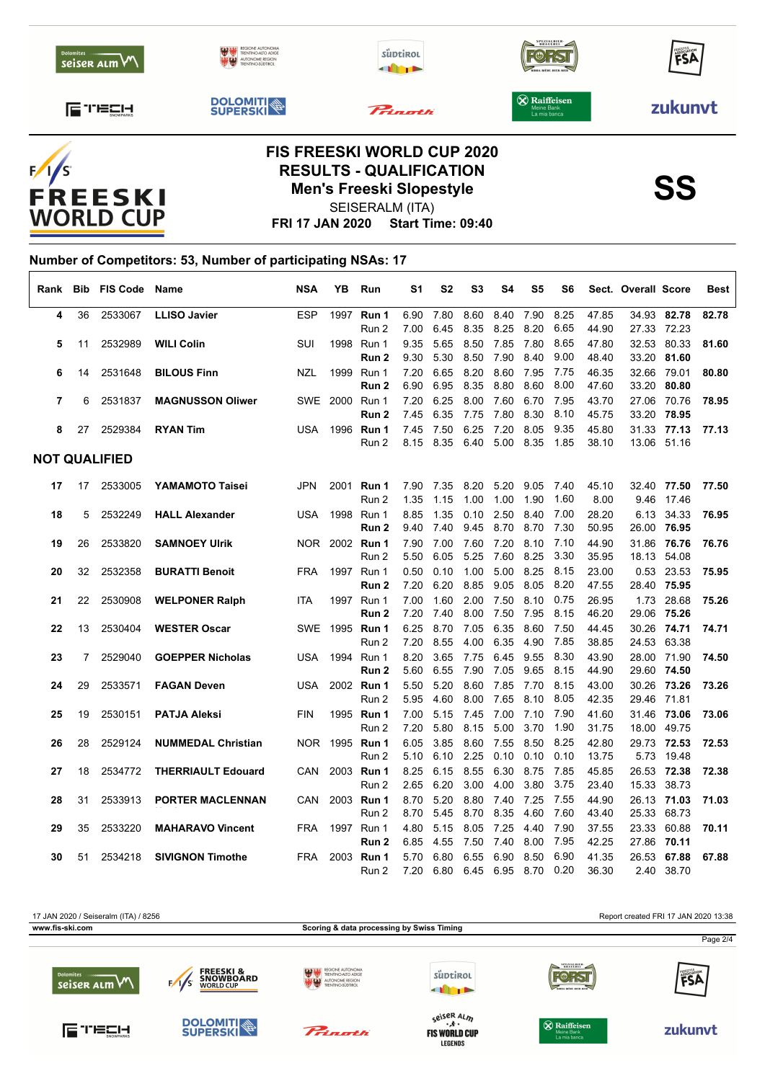



# **RESULTS - QUALIFICATION<br>
Men's Freeski Slopestyle<br>
SSO SEISERALM (ITA)** SEISERALM (ITA)



**FRI 17 JAN 2020 Start Time: 09:40**

#### **Number of Competitors: 53, Number of participating NSAs: 17**  $\Gamma$

| Rank                 | Bib | <b>FIS Code</b> | <b>Name</b>               | <b>NSA</b> | YΒ             | Run                   | S1   | S2   | S3   | S4          | S5           | S6           |       | Sect. Overall Score |                           | Best  |
|----------------------|-----|-----------------|---------------------------|------------|----------------|-----------------------|------|------|------|-------------|--------------|--------------|-------|---------------------|---------------------------|-------|
| 4                    | 36  | 2533067         | <b>LLISO Javier</b>       | <b>ESP</b> |                | 1997 Run 1            | 6.90 | 7.80 | 8.60 | 8.40        | 7.90         | 8.25         | 47.85 |                     | 34.93 82.78               | 82.78 |
|                      |     |                 |                           |            |                | Run 2                 | 7.00 | 6.45 | 8.35 | 8.25        | 8.20         | 6.65         | 44.90 |                     | 27.33 72.23               |       |
| 5                    | 11  | 2532989         | <b>WILI Colin</b>         | SUI        | 1998           | Run 1                 | 9.35 | 5.65 | 8.50 | 7.85        | 7.80         | 8.65         | 47.80 | 32.53               | 80.33                     | 81.60 |
|                      |     |                 |                           |            |                | Run 2                 | 9.30 | 5.30 | 8.50 | 7.90        | 8.40         | 9.00         | 48.40 | 33.20               | 81.60                     |       |
| 6                    | 14  | 2531648         | <b>BILOUS Finn</b>        | <b>NZL</b> | 1999           | Run 1                 | 7.20 | 6.65 | 8.20 | 8.60        | 7.95         | 7.75         | 46.35 | 32.66               | 79.01                     | 80.80 |
|                      |     |                 |                           |            |                | Run 2                 | 6.90 | 6.95 | 8.35 | 8.80        | 8.60         | 8.00         | 47.60 | 33.20               | 80.80                     |       |
| $\overline{7}$       | 6   | 2531837         | <b>MAGNUSSON Oliwer</b>   |            | SWE 2000 Run 1 |                       | 7.20 | 6.25 | 8.00 | 7.60        | 6.70         | 7.95         | 43.70 |                     | 27.06 70.76               | 78.95 |
|                      |     |                 |                           |            |                | Run 2                 | 7.45 | 6.35 | 7.75 | 7.80        | 8.30         | 8.10         | 45.75 |                     | 33.20 78.95               |       |
| 8                    | 27  | 2529384         | <b>RYAN Tim</b>           | <b>USA</b> | 1996           | Run 1                 | 7.45 | 7.50 | 6.25 | 7.20        | 8.05         | 9.35<br>1.85 | 45.80 |                     | 31.33 77.13               | 77.13 |
|                      |     |                 |                           |            |                | Run 2                 | 8.15 | 8.35 | 6.40 | 5.00        | 8.35         |              | 38.10 |                     | 13.06 51.16               |       |
| <b>NOT QUALIFIED</b> |     |                 |                           |            |                |                       |      |      |      |             |              |              |       |                     |                           |       |
| 17                   | 17  | 2533005         | YAMAMOTO Taisei           | <b>JPN</b> |                | 2001 Run 1            | 7.90 | 7.35 | 8.20 | 5.20        | 9.05         | 7.40         | 45.10 |                     | 32.40 77.50               | 77.50 |
|                      |     |                 |                           |            |                | Run 2                 | 1.35 | 1.15 | 1.00 | 1.00        | 1.90         | 1.60         | 8.00  | 9.46                | 17.46                     |       |
| 18                   | 5   | 2532249         | <b>HALL Alexander</b>     | USA        | 1998           | Run 1                 | 8.85 | 1.35 |      | $0.10$ 2.50 | 8.40         | 7.00         | 28.20 |                     | 6.13 34.33                | 76.95 |
|                      |     |                 |                           |            |                | Run 2                 | 9.40 | 7.40 | 9.45 | 8.70        | 8.70         | 7.30         | 50.95 |                     | 26.00 76.95               |       |
| 19                   | 26  | 2533820         | <b>SAMNOEY Ulrik</b>      |            |                | NOR 2002 <b>Run 1</b> | 7.90 | 7.00 | 7.60 | 7.20        | 8.10         | 7.10         | 44.90 |                     | 31.86 76.76               | 76.76 |
|                      |     |                 |                           |            |                | Run 2                 | 5.50 | 6.05 | 5.25 | 7.60        | 8.25         | 3.30         | 35.95 |                     | 18.13 54.08               |       |
| 20                   | 32  | 2532358         | <b>BURATTI Benoit</b>     | <b>FRA</b> |                | 1997 Run 1            | 0.50 | 0.10 | 1.00 | 5.00        | 8.25         | 8.15         | 23.00 | 0.53                | 23.53                     | 75.95 |
|                      |     |                 |                           |            |                | Run 2                 | 7.20 | 6.20 | 8.85 | 9.05        | 8.05         | 8.20         | 47.55 |                     | 28.40 75.95               |       |
| 21                   | 22  | 2530908         | <b>WELPONER Ralph</b>     | <b>ITA</b> |                | 1997 Run 1            | 7.00 | 1.60 | 2.00 | 7.50        | 8.10         | 0.75         | 26.95 | 1.73                | 28.68                     | 75.26 |
|                      |     |                 |                           |            |                | Run 2                 | 7.20 | 7.40 | 8.00 | 7.50        | 7.95         | 8.15         | 46.20 |                     | 29.06 75.26               |       |
| 22                   | 13  | 2530404         | <b>WESTER Oscar</b>       |            |                | SWE 1995 Run 1        | 6.25 | 8.70 | 7.05 | 6.35        | 8.60         | 7.50         | 44.45 | 30.26               | 74.71                     | 74.71 |
|                      |     |                 |                           |            |                | Run 2                 | 7.20 | 8.55 | 4.00 | 6.35        | 4.90         | 7.85         | 38.85 |                     | 24.53 63.38               |       |
| 23                   | 7   | 2529040         | <b>GOEPPER Nicholas</b>   | USA        |                | 1994 Run 1            | 8.20 | 3.65 | 7.75 | 6.45        | 9.55         | 8.30         | 43.90 |                     | 28.00 71.90               | 74.50 |
|                      |     |                 |                           |            |                | Run <sub>2</sub>      | 5.60 | 6.55 | 7.90 | 7.05        | 9.65         | 8.15         | 44.90 |                     | 29.60 74.50               |       |
| 24                   | 29  | 2533571         | <b>FAGAN Deven</b>        | USA        |                | 2002 Run 1            | 5.50 | 5.20 | 8.60 | 7.85        | 7.70         | 8.15         | 43.00 |                     | 30.26 73.26               | 73.26 |
|                      |     |                 |                           |            |                | Run 2                 | 5.95 | 4.60 | 8.00 | 7.65        | 8.10         | 8.05         | 42.35 |                     | 29.46 71.81               |       |
| 25                   | 19  | 2530151         | <b>PATJA Aleksi</b>       | <b>FIN</b> |                | 1995 Run 1            | 7.00 | 5.15 | 7.45 | 7.00        | 7.10         | 7.90         | 41.60 |                     | 31.46 73.06               | 73.06 |
|                      |     |                 |                           |            |                | Run 2                 | 7.20 | 5.80 | 8.15 | 5.00        | 3.70         | 1.90         | 31.75 |                     | 18.00 49.75               |       |
| 26                   | 28  | 2529124         | <b>NUMMEDAL Christian</b> |            |                | NOR 1995 Run 1        | 6.05 | 3.85 | 8.60 | 7.55        | 8.50         | 8.25         | 42.80 |                     | 29.73 72.53               | 72.53 |
|                      |     |                 |                           |            |                | Run 2                 | 5.10 | 6.10 | 2.25 | 0.10        | 0.10         | 0.10         | 13.75 | 5.73                | 19.48                     |       |
| 27                   | 18  | 2534772         | <b>THERRIAULT Edouard</b> | CAN        |                | 2003 Run 1            | 8.25 | 6.15 | 8.55 | 6.30        | 8.75         | 7.85         | 45.85 | 26.53               | 72.38                     | 72.38 |
|                      |     |                 |                           |            |                | Run 2                 | 2.65 | 6.20 | 3.00 | 4.00        | 3.80         | 3.75         | 23.40 |                     | 15.33 38.73               |       |
| 28                   | 31  | 2533913         | <b>PORTER MACLENNAN</b>   | <b>CAN</b> |                | 2003 Run 1            | 8.70 | 5.20 | 8.80 | 7.40        | 7.25         | 7.55         | 44.90 |                     | 26.13 71.03               | 71.03 |
|                      |     |                 |                           |            |                | Run 2                 | 8.70 | 5.45 | 8.70 | 8.35        | 4.60         | 7.60         | 43.40 | 25.33               | 68.73                     |       |
| 29                   | 35  | 2533220         | <b>MAHARAVO Vincent</b>   | <b>FRA</b> |                | 1997 Run 1            | 4.80 | 5.15 | 8.05 | 7.25        | 4.40         | 7.90         | 37.55 | 23.33               | 60.88                     | 70.11 |
|                      |     |                 |                           |            |                | Run 2                 | 6.85 | 4.55 | 7.50 | 7.40        | 8.00         | 7.95         | 42.25 | 27.86               | 70.11                     |       |
| 30                   | 51  | 2534218         | <b>SIVIGNON Timothe</b>   | <b>FRA</b> | 2003           | Run 1<br>Run 2        | 5.70 | 6.80 | 6.55 | 6.90        | 8.50<br>8.70 | 6.90<br>0.20 | 41.35 |                     | 26.53 67.88<br>2.40 38.70 | 67.88 |
|                      |     |                 |                           |            |                |                       | 7.20 | 6.80 | 6.45 | 6.95        |              |              | 36.30 |                     |                           |       |



**LEGENDS**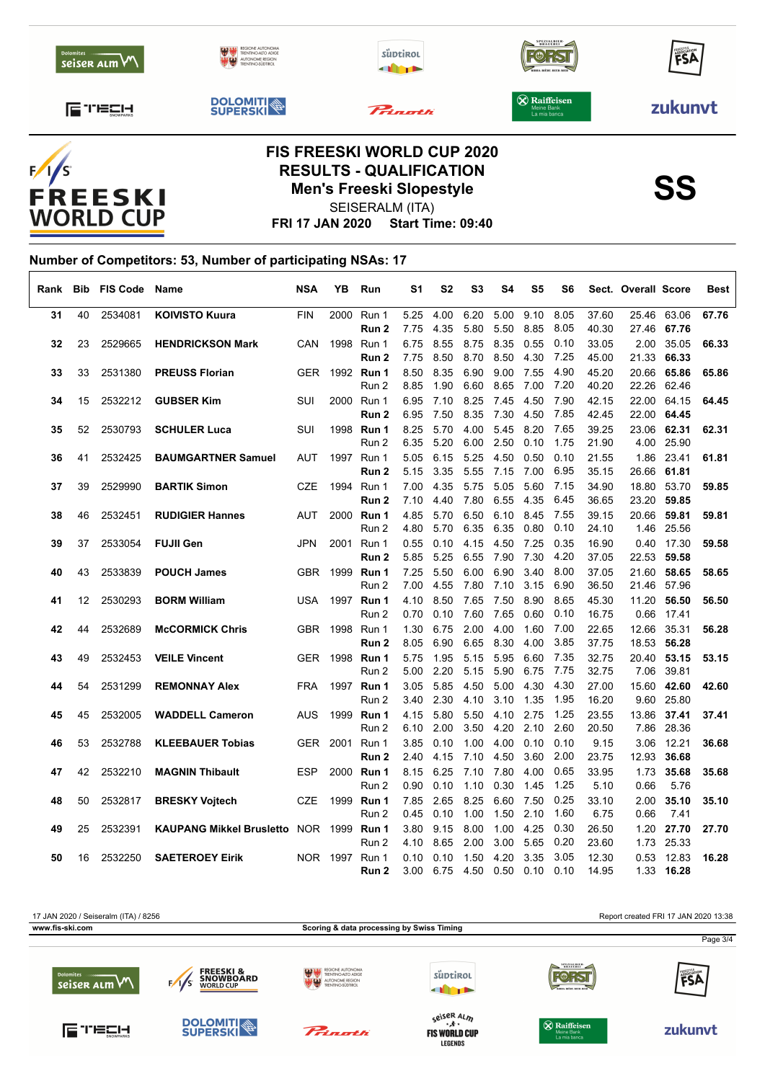



## **RESULTS - QUALIFICATION<br>
Men's Freeski Slopestyle<br>
SSO SEISERALM (ITA)** SEISERALM (ITA)

**FRI 17 JAN 2020 Start Time: 09:40**

#### **Number of Competitors: 53, Number of participating NSAs: 17**  $\sqrt{ }$

| Rank |    | <b>Bib FIS Code</b> | Name                                    | <b>NSA</b> | YΒ             | Run               | S1   | S2        | S3   | S4   | S5                | S6   |       | Sect. Overall Score |             | <b>Best</b> |
|------|----|---------------------|-----------------------------------------|------------|----------------|-------------------|------|-----------|------|------|-------------------|------|-------|---------------------|-------------|-------------|
| 31   | 40 | 2534081             | <b>KOIVISTO Kuura</b>                   | <b>FIN</b> |                | 2000 Run 1        | 5.25 | 4.00      | 6.20 | 5.00 | 9.10              | 8.05 | 37.60 |                     | 25.46 63.06 | 67.76       |
|      |    |                     |                                         |            |                | Run 2             | 7.75 | 4.35      | 5.80 | 5.50 | 8.85              | 8.05 | 40.30 |                     | 27.46 67.76 |             |
| 32   | 23 | 2529665             | <b>HENDRICKSON Mark</b>                 | <b>CAN</b> |                | 1998 Run 1        | 6.75 | 8.55      | 8.75 | 8.35 | 0.55              | 0.10 | 33.05 | 2.00                | 35.05       | 66.33       |
|      |    |                     |                                         |            |                | Run 2             | 7.75 | 8.50      | 8.70 | 8.50 | 4.30              | 7.25 | 45.00 | 21.33               | 66.33       |             |
| 33   | 33 | 2531380             | <b>PREUSS Florian</b>                   |            |                | GER 1992 Run 1    | 8.50 | 8.35      | 6.90 | 9.00 | 7.55              | 4.90 | 45.20 |                     | 20.66 65.86 | 65.86       |
|      |    |                     |                                         |            |                | Run 2             | 8.85 | 1.90      | 6.60 | 8.65 | 7.00              | 7.20 | 40.20 | 22.26               | 62.46       |             |
| 34   | 15 | 2532212             | <b>GUBSER Kim</b>                       | SUI        |                | 2000 Run 1        | 6.95 | 7.10      | 8.25 | 7.45 | 4.50              | 7.90 | 42.15 |                     | 22.00 64.15 | 64.45       |
|      |    |                     |                                         |            |                | Run 2             | 6.95 | 7.50      | 8.35 | 7.30 | 4.50              | 7.85 | 42.45 | 22.00               | 64.45       |             |
| 35   | 52 | 2530793             | <b>SCHULER Luca</b>                     | SUI        |                | 1998 Run 1        | 8.25 | 5.70      | 4.00 | 5.45 | 8.20              | 7.65 | 39.25 | 23.06               | 62.31       | 62.31       |
|      |    |                     |                                         |            |                | Run 2             | 6.35 | 5.20      | 6.00 | 2.50 | 0.10              | 1.75 | 21.90 |                     | 4.00 25.90  |             |
| 36   | 41 | 2532425             | <b>BAUMGARTNER Samuel</b>               | AUT        |                | 1997 Run 1        | 5.05 | 6.15      | 5.25 | 4.50 | 0.50              | 0.10 | 21.55 | 1.86                | 23.41       | 61.81       |
|      |    |                     |                                         |            |                | Run 2             | 5.15 | 3.35      | 5.55 | 7.15 | 7.00              | 6.95 | 35.15 | 26.66               | 61.81       |             |
| 37   | 39 | 2529990             | <b>BARTIK Simon</b>                     | <b>CZE</b> |                | 1994 Run 1        | 7.00 | 4.35      | 5.75 | 5.05 | 5.60              | 7.15 | 34.90 | 18.80               | 53.70       | 59.85       |
|      |    |                     |                                         |            |                | Run 2             | 7.10 | 4.40      | 7.80 | 6.55 | 4.35              | 6.45 | 36.65 |                     | 23.20 59.85 |             |
| 38   | 46 | 2532451             | <b>RUDIGIER Hannes</b>                  | AUT        |                | 2000 Run 1        | 4.85 | 5.70      | 6.50 | 6.10 | 8.45              | 7.55 | 39.15 | 20.66               | 59.81       | 59.81       |
|      |    |                     |                                         |            |                | Run 2             | 4.80 | 5.70      | 6.35 | 6.35 | 0.80              | 0.10 | 24.10 |                     | 1.46 25.56  |             |
| 39   | 37 | 2533054             | <b>FUJII Gen</b>                        | <b>JPN</b> |                | 2001 Run 1        | 0.55 | 0.10      | 4.15 | 4.50 | 7.25              | 0.35 | 16.90 |                     | 0.40 17.30  | 59.58       |
|      |    |                     |                                         |            |                | Run <sub>2</sub>  | 5.85 | 5.25      | 6.55 | 7.90 | 7.30              | 4.20 | 37.05 | 22.53               | 59.58       |             |
| 40   | 43 | 2533839             | <b>POUCH James</b>                      | <b>GBR</b> |                | 1999 <b>Run 1</b> | 7.25 | 5.50      | 6.00 | 6.90 | 3.40              | 8.00 | 37.05 | 21.60               | 58.65       | 58.65       |
|      |    |                     |                                         |            |                | Run 2             | 7.00 | 4.55      | 7.80 | 7.10 | 3.15              | 6.90 | 36.50 |                     | 21.46 57.96 |             |
| 41   | 12 | 2530293             | <b>BORM William</b>                     | <b>USA</b> |                | 1997 Run 1        | 4.10 | 8.50      | 7.65 | 7.50 | 8.90              | 8.65 | 45.30 | 11.20               | 56.50       | 56.50       |
|      |    |                     |                                         |            |                | Run 2             | 0.70 | 0.10      | 7.60 | 7.65 | 0.60              | 0.10 | 16.75 | 0.66                | 17.41       |             |
| 42   | 44 | 2532689             | <b>McCORMICK Chris</b>                  |            | GBR 1998 Run 1 |                   | 1.30 | 6.75      | 2.00 | 4.00 | 1.60              | 7.00 | 22.65 | 12.66               | 35.31       | 56.28       |
|      |    |                     |                                         |            |                | Run 2             | 8.05 | 6.90      | 6.65 | 8.30 | 4.00              | 3.85 | 37.75 | 18.53               | 56.28       |             |
| 43   | 49 | 2532453             | <b>VEILE Vincent</b>                    |            |                | GER 1998 Run 1    | 5.75 | 1.95      | 5.15 | 5.95 | 6.60              | 7.35 | 32.75 |                     | 20.40 53.15 | 53.15       |
|      |    |                     |                                         |            |                | Run 2             | 5.00 | 2.20      | 5.15 | 5.90 | 6.75              | 7.75 | 32.75 | 7.06                | 39.81       |             |
| 44   | 54 | 2531299             | <b>REMONNAY Alex</b>                    | <b>FRA</b> |                | 1997 Run 1        | 3.05 | 5.85      | 4.50 | 5.00 | 4.30              | 4.30 | 27.00 |                     | 15.60 42.60 | 42.60       |
|      |    |                     |                                         |            |                | Run 2             | 3.40 | 2.30      | 4.10 | 3.10 | 1.35              | 1.95 | 16.20 | 9.60                | 25.80       |             |
| 45   | 45 | 2532005             | <b>WADDELL Cameron</b>                  | <b>AUS</b> |                | 1999 Run 1        | 4.15 | 5.80      | 5.50 | 4.10 | 2.75              | 1.25 | 23.55 | 13.86               | 37.41       | 37.41       |
|      |    |                     |                                         |            |                | Run 2             | 6.10 | 2.00      | 3.50 | 4.20 | 2.10              | 2.60 | 20.50 |                     | 7.86 28.36  |             |
| 46   | 53 | 2532788             | <b>KLEEBAUER Tobias</b>                 |            | GER 2001 Run 1 |                   | 3.85 | 0.10      | 1.00 | 4.00 | 0.10              | 0.10 | 9.15  | 3.06                | 12.21       | 36.68       |
|      |    |                     |                                         |            |                | Run 2             | 2.40 | 4.15      | 7.10 | 4.50 | 3.60              | 2.00 | 23.75 | 12.93               | 36.68       |             |
| 47   | 42 | 2532210             | <b>MAGNIN Thibault</b>                  | <b>ESP</b> |                | 2000 Run 1        | 8.15 | 6.25      | 7.10 | 7.80 | 4.00              | 0.65 | 33.95 | 1.73                | 35.68       | 35.68       |
|      |    |                     |                                         |            |                | Run 2             | 0.90 | 0.10      | 1.10 | 0.30 | 1.45              | 1.25 | 5.10  | 0.66                | 5.76        |             |
| 48   | 50 | 2532817             | <b>BRESKY Vojtech</b>                   | CZE        |                | 1999 Run 1        | 7.85 | 2.65      | 8.25 | 6.60 | 7.50              | 0.25 | 33.10 | 2.00                | 35.10       | 35.10       |
|      |    |                     |                                         |            |                | Run 2             | 0.45 | 0.10      | 1.00 | 1.50 | 2.10              | 1.60 | 6.75  | 0.66                | 7.41        |             |
| 49   | 25 | 2532391             | KAUPANG Mikkel Brusletto NOR 1999 Run 1 |            |                |                   | 3.80 | 9.15      | 8.00 | 1.00 | 4.25              | 0.30 | 26.50 | 1.20                | 27.70       | 27.70       |
|      |    |                     |                                         |            |                | Run 2             | 4.10 | 8.65      | 2.00 | 3.00 | 5.65              | 0.20 | 23.60 | 1.73                | 25.33       |             |
| 50   | 16 | 2532250             | <b>SAETEROEY Eirik</b>                  |            | NOR 1997 Run 1 |                   | 0.10 | 0.10      | 1.50 | 4.20 | 3.35              | 3.05 | 12.30 | 0.53                | 12.83       | 16.28       |
|      |    |                     |                                         |            |                | Run 2             | 3.00 | 6.75 4.50 |      | 0.50 | $0.10 \quad 0.10$ |      | 14.95 |                     | 1.33 16.28  |             |



**LEGENDS**